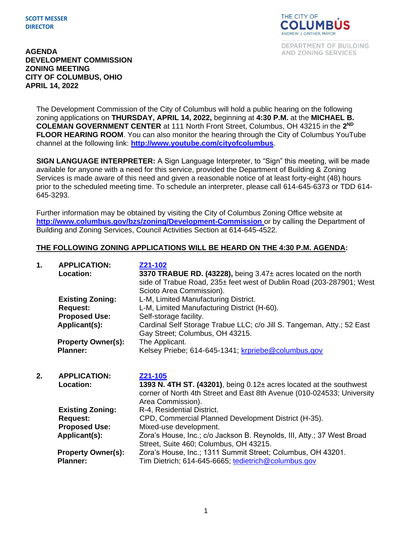## **SCOTT MESSER DIRECTOR**



DEPARTMENT OF BUILDING AND ZONING SERVICES

## **AGENDA DEVELOPMENT COMMISSION ZONING MEETING CITY OF COLUMBUS, OHIO APRIL 14, 2022**

The Development Commission of the City of Columbus will hold a public hearing on the following zoning applications on **THURSDAY, APRIL 14, 2022,** beginning at **4:30 P.M.** at the **MICHAEL B. COLEMAN GOVERNMENT CENTER** at 111 North Front Street, Columbus, OH 43215 in the **2 ND FLOOR HEARING ROOM**. You can also monitor the hearing through the City of Columbus YouTube channel at the following link: **<http://www.youtube.com/cityofcolumbus>**.

**SIGN LANGUAGE INTERPRETER:** A Sign Language Interpreter, to "Sign" this meeting, will be made available for anyone with a need for this service, provided the Department of Building & Zoning Services is made aware of this need and given a reasonable notice of at least forty-eight (48) hours prior to the scheduled meeting time. To schedule an interpreter, please call 614-645-6373 or TDD 614- 645-3293.

Further information may be obtained by visiting the City of Columbus Zoning Office website at **http://www.columbus.gov/bzs/zoning/Development-Commission** or by calling the Department of Building and Zoning Services, Council Activities Section at 614-645-4522.

## **THE FOLLOWING ZONING APPLICATIONS WILL BE HEARD ON THE 4:30 P.M. AGENDA:**

| 1. | <b>APPLICATION:</b><br>Location:           | Z21-102<br>3370 TRABUE RD. (43228), being 3.47± acres located on the north<br>side of Trabue Road, 235± feet west of Dublin Road (203-287901; West<br>Scioto Area Commission). |
|----|--------------------------------------------|--------------------------------------------------------------------------------------------------------------------------------------------------------------------------------|
|    | <b>Existing Zoning:</b><br><b>Request:</b> | L-M, Limited Manufacturing District.<br>L-M, Limited Manufacturing District (H-60).                                                                                            |
|    | <b>Proposed Use:</b>                       | Self-storage facility.                                                                                                                                                         |
|    | Applicant(s):                              | Cardinal Self Storage Trabue LLC; c/o Jill S. Tangeman, Atty.; 52 East<br>Gay Street; Columbus, OH 43215.                                                                      |
|    | <b>Property Owner(s):</b>                  | The Applicant.                                                                                                                                                                 |
|    | <b>Planner:</b>                            | Kelsey Priebe; 614-645-1341; krpriebe@columbus.gov                                                                                                                             |
| 2. | <b>APPLICATION:</b>                        | Z21-105                                                                                                                                                                        |
|    | Location:                                  | 1393 N. 4TH ST. (43201), being 0.12± acres located at the southwest<br>corner of North 4th Street and East 8th Avenue (010-024533; University<br>Area Commission).             |
|    | <b>Existing Zoning:</b>                    | R-4, Residential District.                                                                                                                                                     |
|    | <b>Request:</b>                            | CPD, Commercial Planned Development District (H-35).                                                                                                                           |
|    | <b>Proposed Use:</b>                       | Mixed-use development.                                                                                                                                                         |
|    | Applicant(s):                              | Zora's House, Inc.; c/o Jackson B. Reynolds, III, Atty.; 37 West Broad<br>Street, Suite 460; Columbus, OH 43215.                                                               |
|    |                                            |                                                                                                                                                                                |

| <b>Property Owner(s):</b> | Zora's House, Inc.; 1311 Summit Street; Columbus, OH 43201. |  |  |
|---------------------------|-------------------------------------------------------------|--|--|
|                           |                                                             |  |  |

**Planner:** Tim Dietrich; 614-645-6665; [tedietrich@columbus.gov](mailto:tedietrich@columbus.gov)